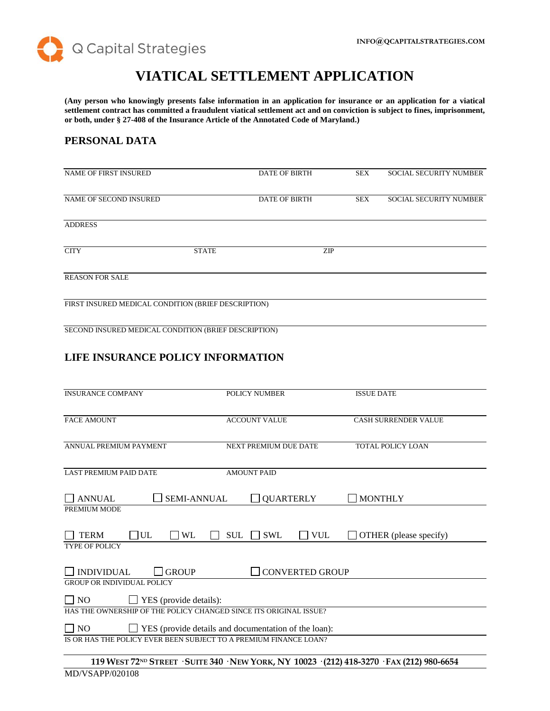

# **VIATICAL SETTLEMENT APPLICATION**

**(Any person who knowingly presents false information in an application for insurance or an application for a viatical settlement contract has committed a fraudulent viatical settlement act and on conviction is subject to fines, imprisonment, or both, under § 27-408 of the Insurance Article of the Annotated Code of Maryland.)**

# **PERSONAL DATA**

| <b>NAME OF FIRST INSURED</b>                         |              | <b>DATE OF BIRTH</b> |            | <b>SEX</b> | <b>SOCIAL SECURITY NUMBER</b> |
|------------------------------------------------------|--------------|----------------------|------------|------------|-------------------------------|
| NAME OF SECOND INSURED                               |              | <b>DATE OF BIRTH</b> |            | SEX        | <b>SOCIAL SECURITY NUMBER</b> |
| <b>ADDRESS</b>                                       |              |                      |            |            |                               |
|                                                      |              |                      |            |            |                               |
| <b>CITY</b>                                          | <b>STATE</b> |                      | <b>ZIP</b> |            |                               |
| <b>REASON FOR SALE</b>                               |              |                      |            |            |                               |
| FIRST INSURED MEDICAL CONDITION (BRIEF DESCRIPTION)  |              |                      |            |            |                               |
| SECOND INSURED MEDICAL CONDITION (BRIEF DESCRIPTION) |              |                      |            |            |                               |
|                                                      |              |                      |            |            |                               |

# **LIFE INSURANCE POLICY INFORMATION**

| <b>INSURANCE COMPANY</b>                                          | <b>POLICY NUMBER</b>                                        | <b>ISSUE DATE</b>                                                                                       |
|-------------------------------------------------------------------|-------------------------------------------------------------|---------------------------------------------------------------------------------------------------------|
| <b>FACE AMOUNT</b>                                                | <b>ACCOUNT VALUE</b>                                        | <b>CASH SURRENDER VALUE</b>                                                                             |
| ANNUAL PREMIUM PAYMENT                                            | <b>NEXT PREMIUM DUE DATE</b>                                | <b>TOTAL POLICY LOAN</b>                                                                                |
| <b>LAST PREMIUM PAID DATE</b>                                     | <b>AMOUNT PAID</b>                                          |                                                                                                         |
| <b>ANNUAL</b><br><b>SEMI-ANNUAL</b>                               | <b>QUARTERLY</b>                                            | <b>MONTHLY</b>                                                                                          |
| PREMIUM MODE                                                      |                                                             |                                                                                                         |
| UL<br><b>WL</b><br><b>TERM</b>                                    | <b>SUL</b><br><b>SWL</b>                                    | <b>VUL</b><br>OTHER (please specify)                                                                    |
| <b>TYPE OF POLICY</b>                                             |                                                             |                                                                                                         |
| <b>INDIVIDUAL</b><br><b>GROUP</b>                                 | <b>CONVERTED GROUP</b>                                      |                                                                                                         |
| <b>GROUP OR INDIVIDUAL POLICY</b>                                 |                                                             |                                                                                                         |
| $\Box$ NO<br>$\Box$ YES (provide details):                        |                                                             |                                                                                                         |
| HAS THE OWNERSHIP OF THE POLICY CHANGED SINCE ITS ORIGINAL ISSUE? |                                                             |                                                                                                         |
| $\overline{\phantom{1}}$ NO                                       | $\Box$ YES (provide details and documentation of the loan): |                                                                                                         |
| IS OR HAS THE POLICY EVER BEEN SUBJECT TO A PREMIUM FINANCE LOAN? |                                                             |                                                                                                         |
|                                                                   |                                                             | 119 WEST 72 <sup>ND</sup> STREET · SUITE 340 · NEW YORK, NY 10023 · (212) 418-3270 · FAX (212) 980-6654 |
| MD/VSAPP/020108                                                   |                                                             |                                                                                                         |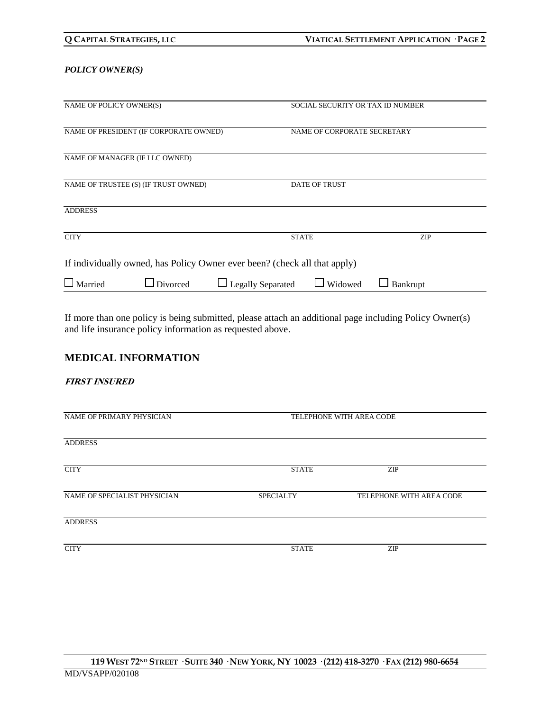### *POLICY OWNER(S)*

| NAME OF POLICY OWNER(S)                                                   | SOCIAL SECURITY OR TAX ID NUMBER    |            |  |
|---------------------------------------------------------------------------|-------------------------------------|------------|--|
| NAME OF PRESIDENT (IF CORPORATE OWNED)                                    | NAME OF CORPORATE SECRETARY         |            |  |
| NAME OF MANAGER (IF LLC OWNED)                                            |                                     |            |  |
| NAME OF TRUSTEE (S) (IF TRUST OWNED)                                      | <b>DATE OF TRUST</b>                |            |  |
| <b>ADDRESS</b>                                                            |                                     |            |  |
| <b>CITY</b>                                                               | <b>STATE</b>                        | <b>ZIP</b> |  |
| If individually owned, has Policy Owner ever been? (check all that apply) |                                     |            |  |
| $\Box$ Married<br>$\Box$ Divorced                                         | <b>Legally Separated</b><br>Widowed | Bankrupt   |  |

If more than one policy is being submitted, please attach an additional page including Policy Owner(s) and life insurance policy information as requested above.

# **MEDICAL INFORMATION**

### **FIRST INSURED**

| NAME OF PRIMARY PHYSICIAN    | TELEPHONE WITH AREA CODE |                          |  |
|------------------------------|--------------------------|--------------------------|--|
| <b>ADDRESS</b>               |                          |                          |  |
| <b>CITY</b>                  | <b>STATE</b>             | <b>ZIP</b>               |  |
| NAME OF SPECIALIST PHYSICIAN | <b>SPECIALTY</b>         | TELEPHONE WITH AREA CODE |  |
| <b>ADDRESS</b>               |                          |                          |  |
| <b>CITY</b>                  | <b>STATE</b>             | ZIP                      |  |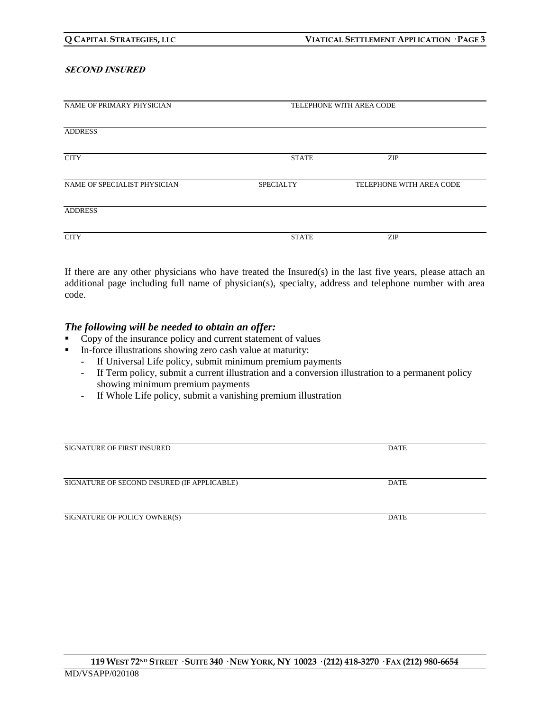#### **SECOND INSURED**

| NAME OF PRIMARY PHYSICIAN    |                  | TELEPHONE WITH AREA CODE |  |
|------------------------------|------------------|--------------------------|--|
|                              |                  |                          |  |
|                              |                  |                          |  |
| <b>ADDRESS</b>               |                  |                          |  |
|                              |                  |                          |  |
|                              |                  |                          |  |
| <b>CITY</b>                  | <b>STATE</b>     | <b>ZIP</b>               |  |
|                              |                  |                          |  |
|                              |                  |                          |  |
| NAME OF SPECIALIST PHYSICIAN | <b>SPECIALTY</b> | TELEPHONE WITH AREA CODE |  |
|                              |                  |                          |  |
|                              |                  |                          |  |
| <b>ADDRESS</b>               |                  |                          |  |
|                              |                  |                          |  |
|                              |                  |                          |  |
| <b>CITY</b>                  | <b>STATE</b>     | <b>ZIP</b>               |  |
|                              |                  |                          |  |

If there are any other physicians who have treated the Insured(s) in the last five years, please attach an additional page including full name of physician(s), specialty, address and telephone number with area code.

### *The following will be needed to obtain an offer:*

- Copy of the insurance policy and current statement of values
- In-force illustrations showing zero cash value at maturity:
	- If Universal Life policy, submit minimum premium payments
	- If Term policy, submit a current illustration and a conversion illustration to a permanent policy showing minimum premium payments
	- If Whole Life policy, submit a vanishing premium illustration

| <b>SIGNATURE OF FIRST INSURED</b>           | DATE        |
|---------------------------------------------|-------------|
|                                             |             |
|                                             |             |
| SIGNATURE OF SECOND INSURED (IF APPLICABLE) | DATE        |
|                                             |             |
|                                             |             |
| SIGNATURE OF POLICY OWNER(S)                | <b>DATE</b> |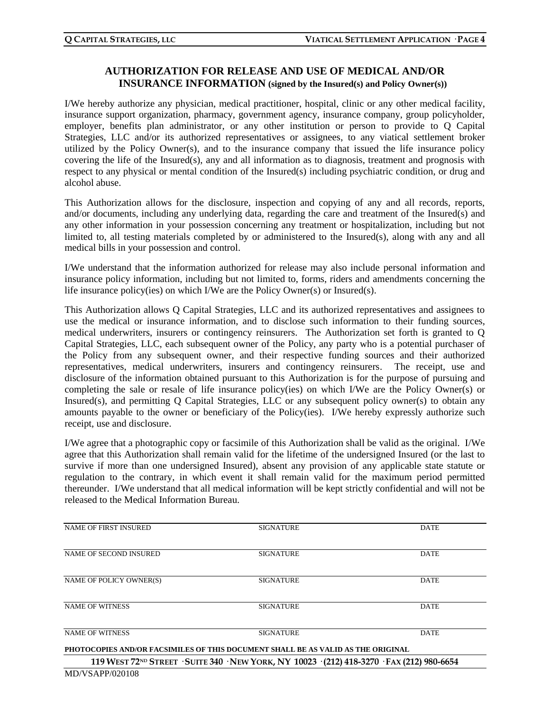# **AUTHORIZATION FOR RELEASE AND USE OF MEDICAL AND/OR INSURANCE INFORMATION (signed by the Insured(s) and Policy Owner(s))**

I/We hereby authorize any physician, medical practitioner, hospital, clinic or any other medical facility, insurance support organization, pharmacy, government agency, insurance company, group policyholder, employer, benefits plan administrator, or any other institution or person to provide to Q Capital Strategies, LLC and/or its authorized representatives or assignees, to any viatical settlement broker utilized by the Policy Owner(s), and to the insurance company that issued the life insurance policy covering the life of the Insured(s), any and all information as to diagnosis, treatment and prognosis with respect to any physical or mental condition of the Insured(s) including psychiatric condition, or drug and alcohol abuse.

This Authorization allows for the disclosure, inspection and copying of any and all records, reports, and/or documents, including any underlying data, regarding the care and treatment of the Insured(s) and any other information in your possession concerning any treatment or hospitalization, including but not limited to, all testing materials completed by or administered to the Insured(s), along with any and all medical bills in your possession and control.

I/We understand that the information authorized for release may also include personal information and insurance policy information, including but not limited to, forms, riders and amendments concerning the life insurance policy(ies) on which I/We are the Policy Owner(s) or Insured(s).

This Authorization allows Q Capital Strategies, LLC and its authorized representatives and assignees to use the medical or insurance information, and to disclose such information to their funding sources, medical underwriters, insurers or contingency reinsurers. The Authorization set forth is granted to Q Capital Strategies, LLC, each subsequent owner of the Policy, any party who is a potential purchaser of the Policy from any subsequent owner, and their respective funding sources and their authorized representatives, medical underwriters, insurers and contingency reinsurers. The receipt, use and disclosure of the information obtained pursuant to this Authorization is for the purpose of pursuing and completing the sale or resale of life insurance policy(ies) on which I/We are the Policy Owner(s) or Insured(s), and permitting Q Capital Strategies, LLC or any subsequent policy owner(s) to obtain any amounts payable to the owner or beneficiary of the Policy(ies). I/We hereby expressly authorize such receipt, use and disclosure.

I/We agree that a photographic copy or facsimile of this Authorization shall be valid as the original. I/We agree that this Authorization shall remain valid for the lifetime of the undersigned Insured (or the last to survive if more than one undersigned Insured), absent any provision of any applicable state statute or regulation to the contrary, in which event it shall remain valid for the maximum period permitted thereunder. I/We understand that all medical information will be kept strictly confidential and will not be released to the Medical Information Bureau.

| <b>NAME OF FIRST INSURED</b>                                                                | <b>SIGNATURE</b> | <b>DATE</b> |  |
|---------------------------------------------------------------------------------------------|------------------|-------------|--|
|                                                                                             |                  |             |  |
| NAME OF SECOND INSURED                                                                      | <b>SIGNATURE</b> | <b>DATE</b> |  |
|                                                                                             |                  |             |  |
| NAME OF POLICY OWNER(S)                                                                     | <b>SIGNATURE</b> | <b>DATE</b> |  |
|                                                                                             |                  |             |  |
| <b>NAME OF WITNESS</b>                                                                      | <b>SIGNATURE</b> | <b>DATE</b> |  |
|                                                                                             |                  |             |  |
| <b>NAME OF WITNESS</b>                                                                      | <b>SIGNATURE</b> | <b>DATE</b> |  |
| PHOTOCOPIES AND/OR FACSIMILES OF THIS DOCUMENT SHALL BE AS VALID AS THE ORIGINAL            |                  |             |  |
| 119 WEST 72ND STREET · SUITE 340 · NEW YORK, NY 10023 · (212) 418-3270 · FAX (212) 980-6654 |                  |             |  |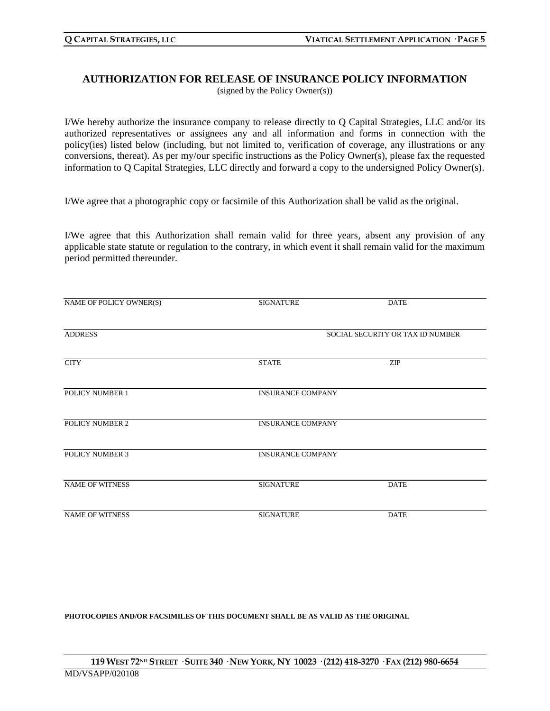### **AUTHORIZATION FOR RELEASE OF INSURANCE POLICY INFORMATION** (signed by the Policy Owner(s))

I/We hereby authorize the insurance company to release directly to Q Capital Strategies, LLC and/or its authorized representatives or assignees any and all information and forms in connection with the policy(ies) listed below (including, but not limited to, verification of coverage, any illustrations or any conversions, thereat). As per my/our specific instructions as the Policy Owner(s), please fax the requested information to Q Capital Strategies, LLC directly and forward a copy to the undersigned Policy Owner(s).

I/We agree that a photographic copy or facsimile of this Authorization shall be valid as the original.

I/We agree that this Authorization shall remain valid for three years, absent any provision of any applicable state statute or regulation to the contrary, in which event it shall remain valid for the maximum period permitted thereunder.

| NAME OF POLICY OWNER(S) | <b>SIGNATURE</b>                 | <b>DATE</b> |  |
|-------------------------|----------------------------------|-------------|--|
| <b>ADDRESS</b>          | SOCIAL SECURITY OR TAX ID NUMBER |             |  |
| <b>CITY</b>             | <b>STATE</b>                     | ZIP         |  |
| POLICY NUMBER 1         | <b>INSURANCE COMPANY</b>         |             |  |
| POLICY NUMBER 2         | <b>INSURANCE COMPANY</b>         |             |  |
| POLICY NUMBER 3         | <b>INSURANCE COMPANY</b>         |             |  |
| <b>NAME OF WITNESS</b>  | <b>SIGNATURE</b>                 | <b>DATE</b> |  |
| <b>NAME OF WITNESS</b>  | <b>SIGNATURE</b>                 | <b>DATE</b> |  |

**PHOTOCOPIES AND/OR FACSIMILES OF THIS DOCUMENT SHALL BE AS VALID AS THE ORIGINAL**